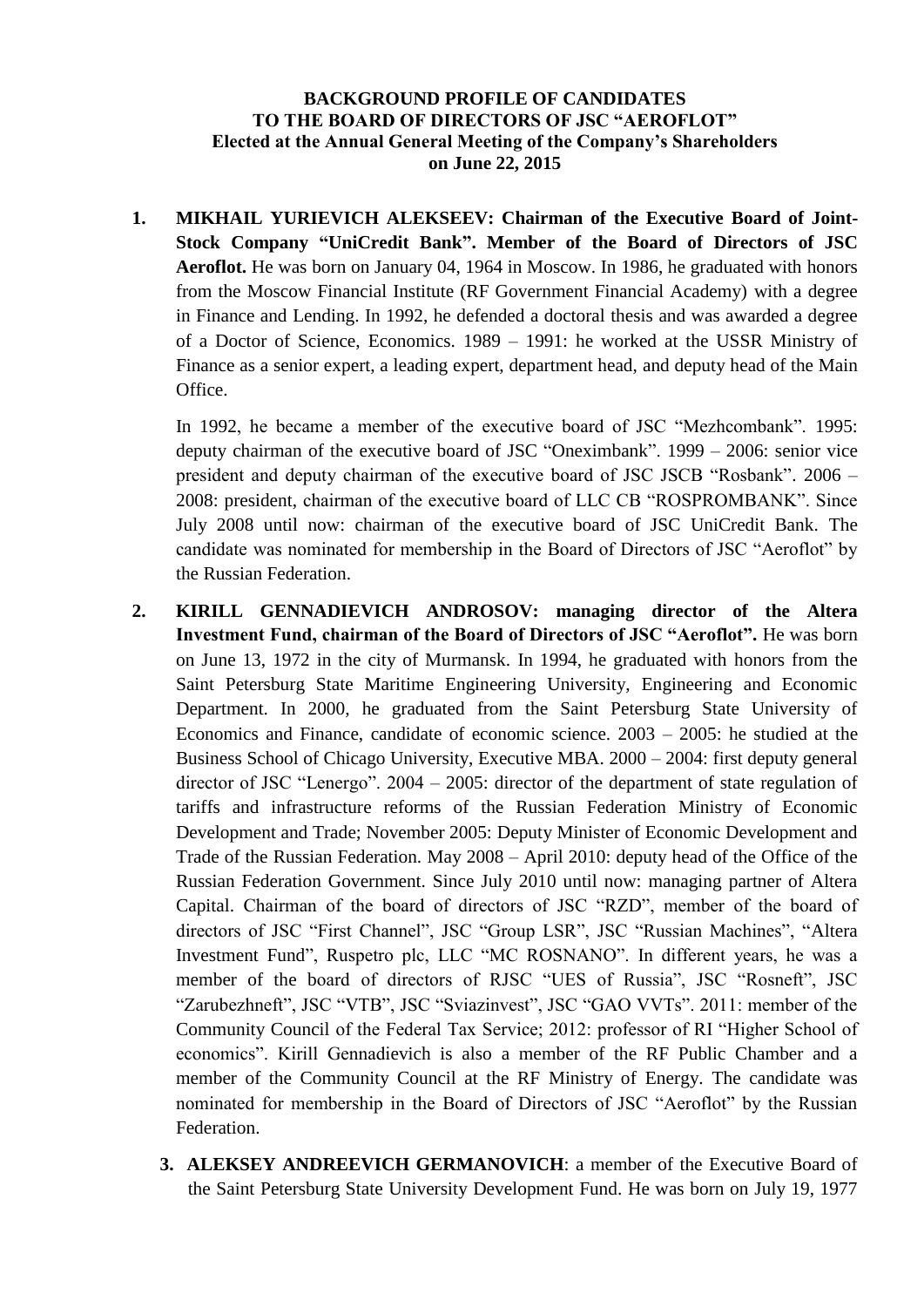## **BACKGROUND PROFILE OF CANDIDATES TO THE BOARD OF DIRECTORS OF JSC "AEROFLOT" Elected at the Annual General Meeting of the Company's Shareholders on June 22, 2015**

**1. MIKHAIL YURIEVICH ALEKSEEV: Chairman of the Executive Board of Joint-Stock Company "UniCredit Bank". Member of the Board of Directors of JSC Aeroflot.** He was born on January 04, 1964 in Moscow. In 1986, he graduated with honors from the Moscow Financial Institute (RF Government Financial Academy) with a degree in Finance and Lending. In 1992, he defended a doctoral thesis and was awarded a degree of a Doctor of Science, Economics. 1989 – 1991: he worked at the USSR Ministry of Finance as a senior expert, a leading expert, department head, and deputy head of the Main Office.

In 1992, he became a member of the executive board of JSC "Mezhcombank". 1995: deputy chairman of the executive board of JSC "Oneximbank". 1999 – 2006: senior vice president and deputy chairman of the executive board of JSC JSCB "Rosbank". 2006 – 2008: president, chairman of the executive board of LLC CB "ROSPROMBANK". Since July 2008 until now: chairman of the executive board of JSC UniCredit Bank. The candidate was nominated for membership in the Board of Directors of JSC "Aeroflot" by the Russian Federation.

- **2. KIRILL GENNADIEVICH ANDROSOV: managing director of the Altera Investment Fund, chairman of the Board of Directors of JSC "Aeroflot".** He was born on June 13, 1972 in the city of Murmansk. In 1994, he graduated with honors from the Saint Petersburg State Maritime Engineering University, Engineering and Economic Department. In 2000, he graduated from the Saint Petersburg State University of Economics and Finance, candidate of economic science. 2003 – 2005: he studied at the Business School of Chicago University, Executive MBA. 2000 – 2004: first deputy general director of JSC "Lenergo". 2004 – 2005: director of the department of state regulation of tariffs and infrastructure reforms of the Russian Federation Ministry of Economic Development and Trade; November 2005: Deputy Minister of Economic Development and Trade of the Russian Federation. May 2008 – April 2010: deputy head of the Office of the Russian Federation Government. Since July 2010 until now: managing partner of Altera Capital. Chairman of the board of directors of JSC "RZD", member of the board of directors of JSC "First Channel", JSC "Group LSR", JSC "Russian Machines", "Altera Investment Fund", Ruspetro plc, LLC "MC ROSNANO". In different years, he was a member of the board of directors of RJSC "UES of Russia", JSC "Rosneft", JSC "Zarubezhneft", JSC "VTB", JSC "Sviazinvest", JSC "GAO VVTs". 2011: member of the Community Council of the Federal Tax Service; 2012: professor of RI "Higher School of economics". Kirill Gennadievich is also a member of the RF Public Chamber and a member of the Community Council at the RF Ministry of Energy. The candidate was nominated for membership in the Board of Directors of JSC "Aeroflot" by the Russian Federation.
	- **3. ALEKSEY ANDREEVICH GERMANOVICH**: a member of the Executive Board of the Saint Petersburg State University Development Fund. He was born on July 19, 1977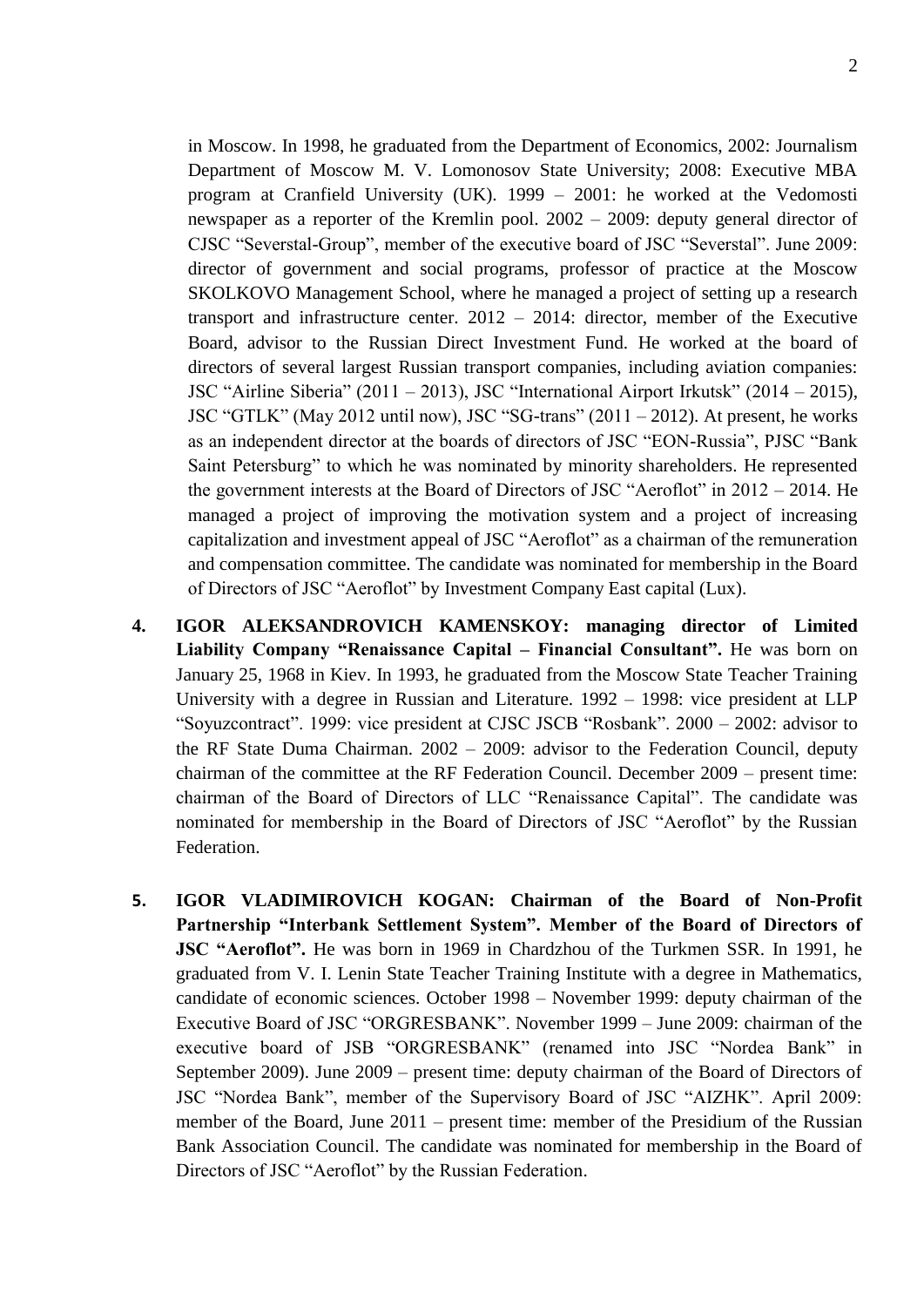in Moscow. In 1998, he graduated from the Department of Economics, 2002: Journalism Department of Moscow M. V. Lomonosov State University; 2008: Executive MBA program at Cranfield University (UK). 1999 – 2001: he worked at the Vedomosti newspaper as a reporter of the Kremlin pool. 2002 – 2009: deputy general director of CJSC "Severstal-Group", member of the executive board of JSC "Severstal". June 2009: director of government and social programs, professor of practice at the Moscow SKOLKOVO Management School, where he managed a project of setting up a research transport and infrastructure center. 2012 – 2014: director, member of the Executive Board, advisor to the Russian Direct Investment Fund. He worked at the board of directors of several largest Russian transport companies, including aviation companies: JSC "Airline Siberia" (2011 – 2013), JSC "International Airport Irkutsk" (2014 – 2015), JSC "GTLK" (May 2012 until now), JSC "SG-trans" (2011 – 2012). At present, he works as an independent director at the boards of directors of JSC "EON-Russia", PJSC "Bank Saint Petersburg" to which he was nominated by minority shareholders. He represented the government interests at the Board of Directors of JSC "Aeroflot" in 2012 – 2014. He managed a project of improving the motivation system and a project of increasing capitalization and investment appeal of JSC "Aeroflot" as a chairman of the remuneration and compensation committee. The candidate was nominated for membership in the Board of Directors of JSC "Aeroflot" by Investment Company East capital (Lux).

- **4. IGOR ALEKSANDROVICH KAMENSKOY: managing director of Limited Liability Company "Renaissance Capital – Financial Consultant".** He was born on January 25, 1968 in Kiev. In 1993, he graduated from the Moscow State Teacher Training University with a degree in Russian and Literature. 1992 – 1998: vice president at LLP "Soyuzcontract". 1999: vice president at CJSC JSCB "Rosbank". 2000 – 2002: advisor to the RF State Duma Chairman. 2002 – 2009: advisor to the Federation Council, deputy chairman of the committee at the RF Federation Council. December 2009 – present time: chairman of the Board of Directors of LLC "Renaissance Capital". The candidate was nominated for membership in the Board of Directors of JSC "Aeroflot" by the Russian Federation.
- **5. IGOR VLADIMIROVICH KOGAN: Chairman of the Board of Non-Profit Partnership "Interbank Settlement System". Member of the Board of Directors of JSC "Aeroflot".** He was born in 1969 in Chardzhou of the Turkmen SSR. In 1991, he graduated from V. I. Lenin State Teacher Training Institute with a degree in Mathematics, candidate of economic sciences. October 1998 – November 1999: deputy chairman of the Executive Board of JSC "ORGRESBANK". November 1999 – June 2009: chairman of the executive board of JSB "ORGRESBANK" (renamed into JSC "Nordea Bank" in September 2009). June 2009 – present time: deputy chairman of the Board of Directors of JSC "Nordea Bank", member of the Supervisory Board of JSC "AIZHK". April 2009: member of the Board, June 2011 – present time: member of the Presidium of the Russian Bank Association Council. The candidate was nominated for membership in the Board of Directors of JSC "Aeroflot" by the Russian Federation.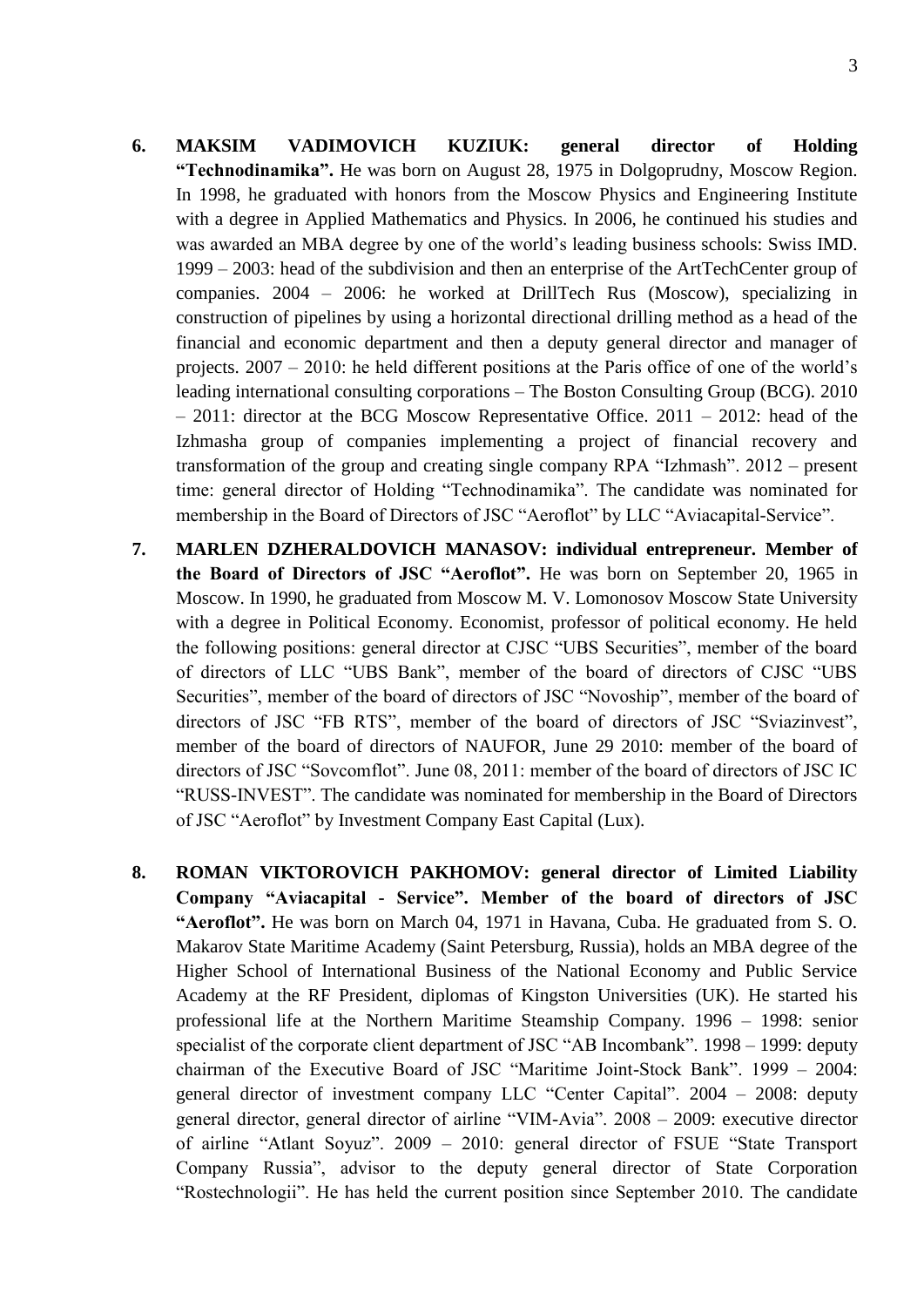- **6. MAKSIM VADIMOVICH KUZIUK: general director of Holding "Technodinamika".** He was born on August 28, 1975 in Dolgoprudny, Moscow Region. In 1998, he graduated with honors from the Moscow Physics and Engineering Institute with a degree in Applied Mathematics and Physics. In 2006, he continued his studies and was awarded an MBA degree by one of the world's leading business schools: Swiss IMD. 1999 – 2003: head of the subdivision and then an enterprise of the ArtTechCenter group of companies. 2004 – 2006: he worked at DrillTech Rus (Moscow), specializing in construction of pipelines by using a horizontal directional drilling method as a head of the financial and economic department and then a deputy general director and manager of projects. 2007 – 2010: he held different positions at the Paris office of one of the world's leading international consulting corporations – The Boston Consulting Group (BCG). 2010 – 2011: director at the BCG Moscow Representative Office. 2011 – 2012: head of the Izhmasha group of companies implementing a project of financial recovery and transformation of the group and creating single company RPA "Izhmash". 2012 – present time: general director of Holding "Technodinamika". The candidate was nominated for membership in the Board of Directors of JSC "Aeroflot" by LLC "Aviacapital-Service".
- **7. MARLEN DZHERALDOVICH MANASOV: individual entrepreneur. Member of the Board of Directors of JSC "Aeroflot".** He was born on September 20, 1965 in Moscow. In 1990, he graduated from Moscow M. V. Lomonosov Moscow State University with a degree in Political Economy. Economist, professor of political economy. He held the following positions: general director at CJSC "UBS Securities", member of the board of directors of LLC "UBS Bank", member of the board of directors of CJSC "UBS Securities", member of the board of directors of JSC "Novoship", member of the board of directors of JSC "FB RTS", member of the board of directors of JSC "Sviazinvest", member of the board of directors of NAUFOR, June 29 2010: member of the board of directors of JSC "Sovcomflot". June 08, 2011: member of the board of directors of JSC IC "RUSS-INVEST". The candidate was nominated for membership in the Board of Directors of JSC "Aeroflot" by Investment Company East Capital (Lux).
- **8. ROMAN VIKTOROVICH PAKHOMOV: general director of Limited Liability Company "Aviacapital - Service". Member of the board of directors of JSC "Aeroflot".** He was born on March 04, 1971 in Havana, Cuba. He graduated from S. O. Makarov State Maritime Academy (Saint Petersburg, Russia), holds an MBA degree of the Higher School of International Business of the National Economy and Public Service Academy at the RF President, diplomas of Kingston Universities (UK). He started his professional life at the Northern Maritime Steamship Company. 1996 – 1998: senior specialist of the corporate client department of JSC "AB Incombank". 1998 – 1999: deputy chairman of the Executive Board of JSC "Maritime Joint-Stock Bank". 1999 – 2004: general director of investment company LLC "Center Capital". 2004 – 2008: deputy general director, general director of airline "VIM-Avia". 2008 – 2009: executive director of airline "Atlant Soyuz". 2009 – 2010: general director of FSUE "State Transport Company Russia", advisor to the deputy general director of State Corporation "Rostechnologii". He has held the current position since September 2010. The candidate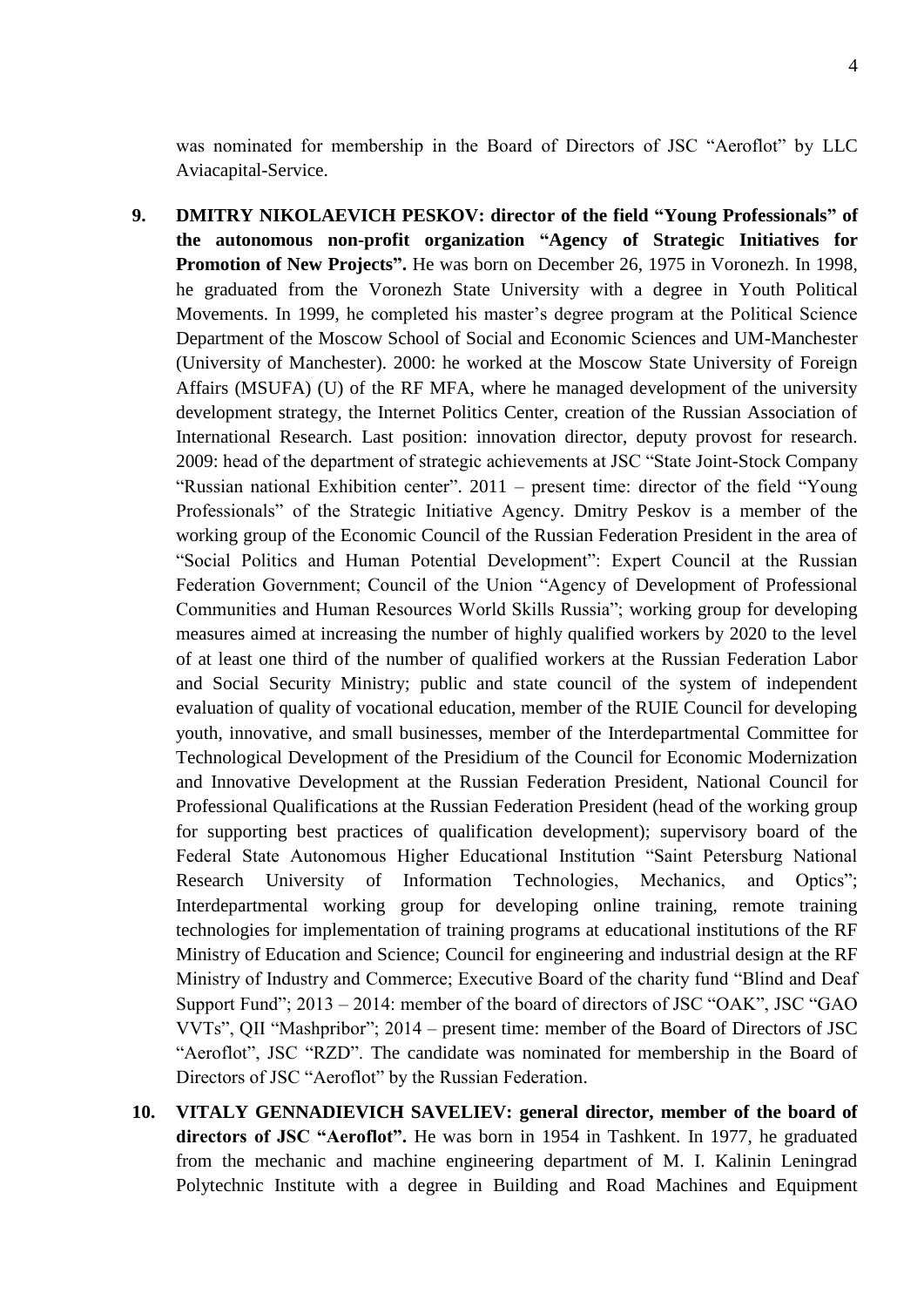was nominated for membership in the Board of Directors of JSC "Aeroflot" by LLC Aviacapital-Service.

- **9. DMITRY NIKOLAEVICH PESKOV: director of the field "Young Professionals" of the autonomous non-profit organization "Agency of Strategic Initiatives for Promotion of New Projects".** He was born on December 26, 1975 in Voronezh. In 1998, he graduated from the Voronezh State University with a degree in Youth Political Movements. In 1999, he completed his master's degree program at the Political Science Department of the Moscow School of Social and Economic Sciences and UM-Manchester (University of Manchester). 2000: he worked at the Moscow State University of Foreign Affairs (MSUFA) (U) of the RF MFA, where he managed development of the university development strategy, the Internet Politics Center, creation of the Russian Association of International Research. Last position: innovation director, deputy provost for research. 2009: head of the department of strategic achievements at JSC "State Joint-Stock Company "Russian national Exhibition center". 2011 – present time: director of the field "Young Professionals" of the Strategic Initiative Agency. Dmitry Peskov is a member of the working group of the Economic Council of the Russian Federation President in the area of "Social Politics and Human Potential Development": Expert Council at the Russian Federation Government; Council of the Union "Agency of Development of Professional Communities and Human Resources World Skills Russia"; working group for developing measures aimed at increasing the number of highly qualified workers by 2020 to the level of at least one third of the number of qualified workers at the Russian Federation Labor and Social Security Ministry; public and state council of the system of independent evaluation of quality of vocational education, member of the RUIE Council for developing youth, innovative, and small businesses, member of the Interdepartmental Committee for Technological Development of the Presidium of the Council for Economic Modernization and Innovative Development at the Russian Federation President, National Council for Professional Qualifications at the Russian Federation President (head of the working group for supporting best practices of qualification development); supervisory board of the Federal State Autonomous Higher Educational Institution "Saint Petersburg National Research University of Information Technologies, Mechanics, and Optics"; Interdepartmental working group for developing online training, remote training technologies for implementation of training programs at educational institutions of the RF Ministry of Education and Science; Council for engineering and industrial design at the RF Ministry of Industry and Commerce; Executive Board of the charity fund "Blind and Deaf Support Fund"; 2013 – 2014: member of the board of directors of JSC "OAK", JSC "GAO VVTs", QII "Mashpribor"; 2014 – present time: member of the Board of Directors of JSC "Aeroflot", JSC "RZD". The candidate was nominated for membership in the Board of Directors of JSC "Aeroflot" by the Russian Federation.
- **10. VITALY GENNADIEVICH SAVELIEV: general director, member of the board of directors of JSC "Aeroflot".** He was born in 1954 in Tashkent. In 1977, he graduated from the mechanic and machine engineering department of M. I. Kalinin Leningrad Polytechnic Institute with a degree in Building and Road Machines and Equipment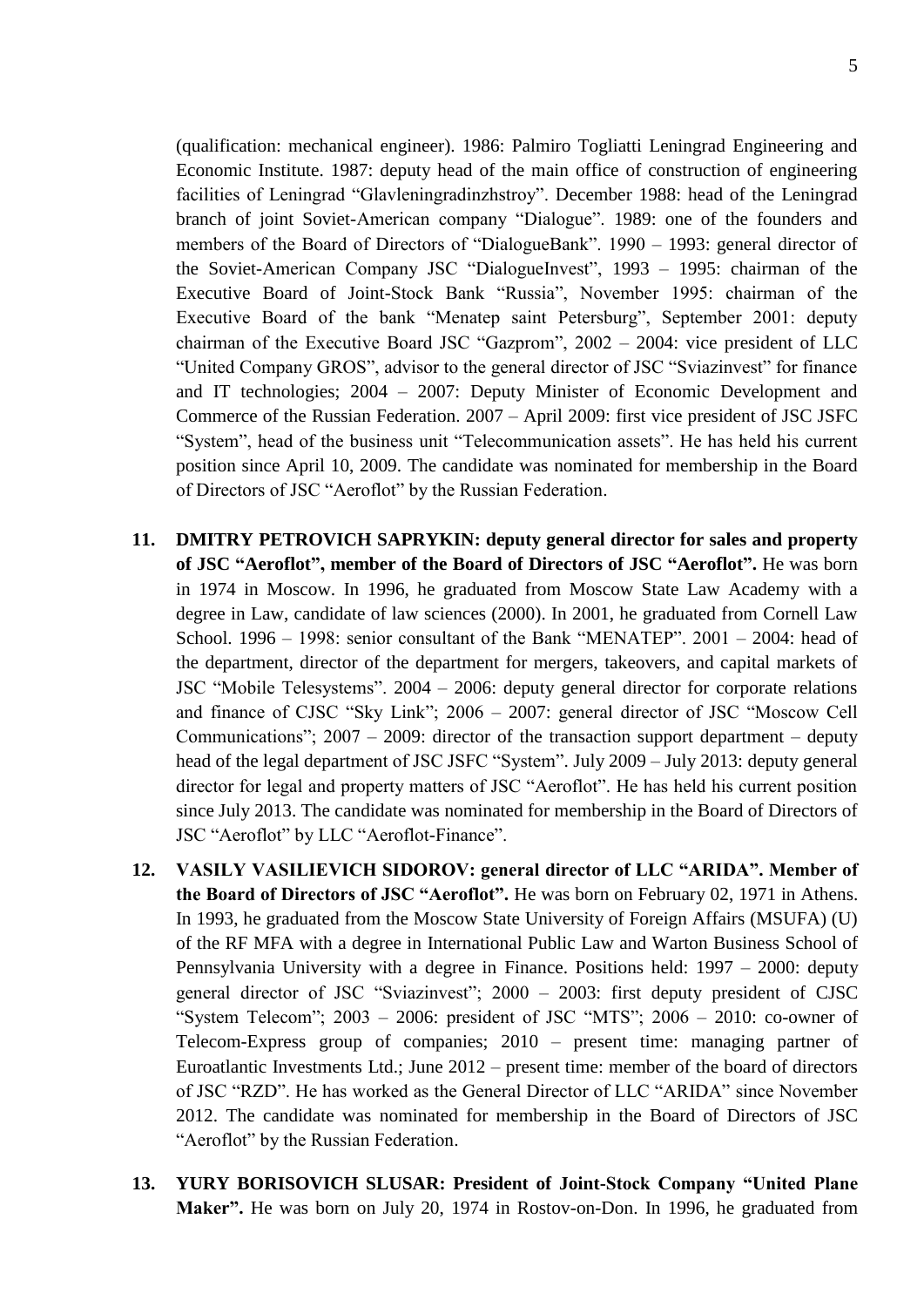(qualification: mechanical engineer). 1986: Palmiro Togliatti Leningrad Engineering and Economic Institute. 1987: deputy head of the main office of construction of engineering facilities of Leningrad "Glavleningradinzhstroy". December 1988: head of the Leningrad branch of joint Soviet-American company "Dialogue". 1989: one of the founders and members of the Board of Directors of "DialogueBank". 1990 – 1993: general director of the Soviet-American Company JSC "DialogueInvest", 1993 – 1995: chairman of the Executive Board of Joint-Stock Bank "Russia", November 1995: chairman of the Executive Board of the bank "Menatep saint Petersburg", September 2001: deputy chairman of the Executive Board JSC "Gazprom", 2002 – 2004: vice president of LLC "United Company GROS", advisor to the general director of JSC "Sviazinvest" for finance and IT technologies; 2004 – 2007: Deputy Minister of Economic Development and Commerce of the Russian Federation. 2007 – April 2009: first vice president of JSC JSFC "System", head of the business unit "Telecommunication assets". He has held his current position since April 10, 2009. The candidate was nominated for membership in the Board of Directors of JSC "Aeroflot" by the Russian Federation.

- **11. DMITRY PETROVICH SAPRYKIN: deputy general director for sales and property of JSC "Aeroflot", member of the Board of Directors of JSC "Aeroflot".** He was born in 1974 in Moscow. In 1996, he graduated from Moscow State Law Academy with a degree in Law, candidate of law sciences (2000). In 2001, he graduated from Cornell Law School. 1996 – 1998: senior consultant of the Bank "MENATEP". 2001 – 2004: head of the department, director of the department for mergers, takeovers, and capital markets of JSC "Mobile Telesystems". 2004 – 2006: deputy general director for corporate relations and finance of CJSC "Sky Link"; 2006 – 2007: general director of JSC "Moscow Cell Communications";  $2007 - 2009$ : director of the transaction support department – deputy head of the legal department of JSC JSFC "System". July 2009 – July 2013: deputy general director for legal and property matters of JSC "Aeroflot". He has held his current position since July 2013. The candidate was nominated for membership in the Board of Directors of JSC "Aeroflot" by LLC "Aeroflot-Finance".
- **12. VASILY VASILIEVICH SIDOROV: general director of LLC "ARIDA". Member of the Board of Directors of JSC "Aeroflot".** He was born on February 02, 1971 in Athens. In 1993, he graduated from the Moscow State University of Foreign Affairs (MSUFA) (U) of the RF MFA with a degree in International Public Law and Warton Business School of Pennsylvania University with a degree in Finance. Positions held: 1997 – 2000: deputy general director of JSC "Sviazinvest"; 2000 – 2003: first deputy president of CJSC "System Telecom";  $2003 - 2006$ : president of JSC "MTS";  $2006 - 2010$ : co-owner of Telecom-Express group of companies; 2010 – present time: managing partner of Euroatlantic Investments Ltd.; June 2012 – present time: member of the board of directors of JSC "RZD". He has worked as the General Director of LLC "ARIDA" since November 2012. The candidate was nominated for membership in the Board of Directors of JSC "Aeroflot" by the Russian Federation.
- **13. YURY BORISOVICH SLUSAR: President of Joint-Stock Company "United Plane Maker".** He was born on July 20, 1974 in Rostov-on-Don. In 1996, he graduated from